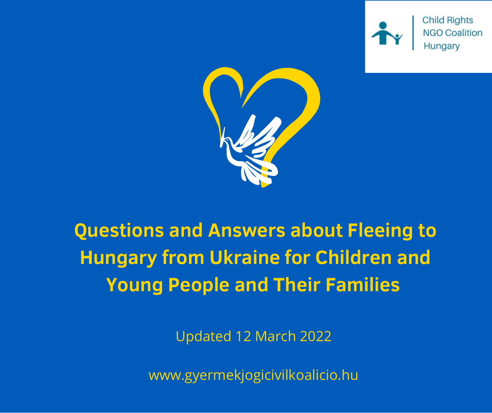

**Child Rights** 



# **Questions and Answers about Fleeing to Hungary from Ukraine for Children and Young People and Their Families**

Updated 12 March 2022

www.gyermekjogicivilkoalicio.hu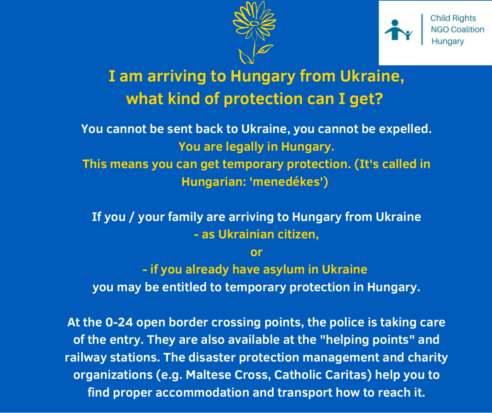



## **I am arriving to Hungary from Ukraine, what kind of protection can I get?**

**You cannot be sent back to Ukraine, you cannot be expelled. You are legally in Hungary. This means you can get temporary protection. (It's called in Hungarian: 'menedékes')**

**If you / your family are arriving to Hungary from Ukraine - as Ukrainian citizen,**

**or**

**- if you already have asylum in Ukraine you may be entitled to temporary protection in Hungary.**

**At the 0-24 open border crossing points, the police is taking care of the entry. They are also available at the "helping points" and railway stations. The disaster protection management and charity organizations (e.g. Maltese Cross, Catholic Caritas) help you to find proper accommodation and transport how to reach it.**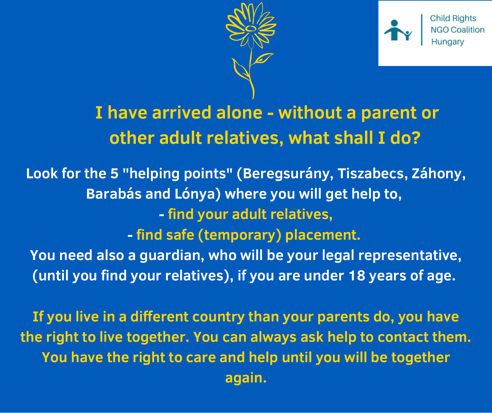



## **I have arrived alone - without a parent or other adult relatives, what shall I do?**

**Look for the 5 "helping points" (Beregsurány, Tiszabecs, Záhony, Barabás and Lónya) where you will get help to, - find your adult relatives, - find safe (temporary) placement. You need also a guardian, who will be your legal representative, (until you find your relatives), if you are under 18 years of age.**

**If you live in a different country than your parents do, you have the right to live together. You can always ask help to contact them. You have the right to care and help until you will be together again.**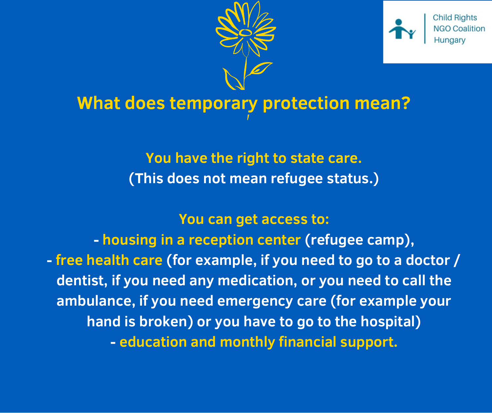



## **What does temporary protection mean?**

#### **You have the right to state care. (This does not mean refugee status.)**

#### **You can get access to:**

**- housing in a reception center (refugee camp), - free health care (for example, if you need to go to a doctor / dentist, if you need any medication, or you need to call the ambulance, if you need emergency care (for example your hand is broken) or you have to go to the hospital) - education and monthly financial support.**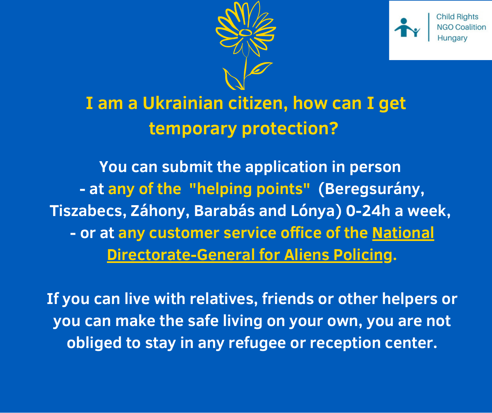



**Child Riahts** 

## **I am a Ukrainian citizen, how can I get temporary protection?**

**You can submit the application in person - at any of the "helping points" (Beregsurány, Tiszabecs, Záhony, Barabás and Lónya) 0-24h a week, - or at any customer service office of the National [Directorate-General](http://www.bmbah.hu/index.php?option=com_k2&view=item&layout=item&id=33&Itemid=678&lang=en) for Aliens Policing.**

**If you can live with relatives, friends or other helpers or you can make the safe living on your own, you are not obliged to stay in any refugee or reception center.**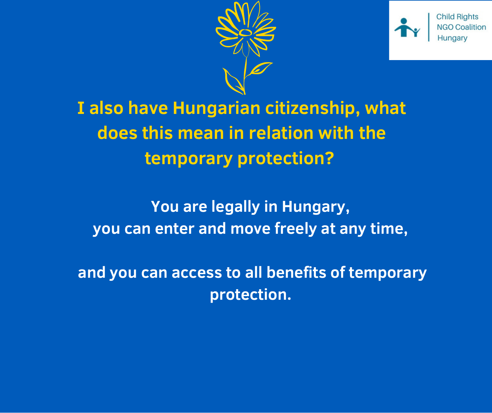



Child Riahts

**I also have Hungarian citizenship, what does this mean in relation with the temporary protection?**

**You are legally in Hungary, you can enter and move freely at any time,**

**and you can access to all benefits of temporary protection.**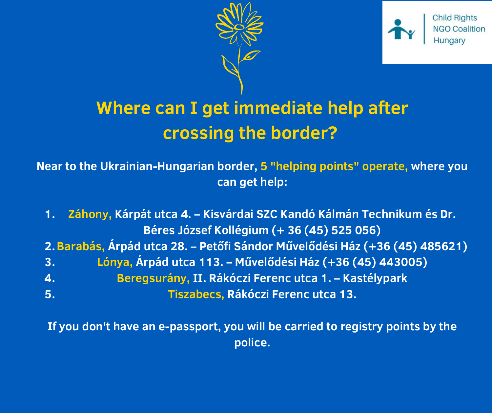



## **Where can I get immediate help after crossing the border?**

**Near to the Ukrainian-Hungarian border, 5 "helping points" operate, where you can get help:**

|                                                                             | 1. Záhony, Kárpát utca 4. – Kisvárdai SZC Kandó Kálmán Technikum és Dr. |
|-----------------------------------------------------------------------------|-------------------------------------------------------------------------|
|                                                                             | Béres József Kollégium (+ 36 (45) 525 056)                              |
| 2. Barabás, Árpád utca 28. – Petőfi Sándor Művelődési Ház (+36 (45) 485621) |                                                                         |
| 3.                                                                          | Lónya, Árpád utca 113. – Művelődési Ház (+36 (45) 443005)               |
| $\boldsymbol{4}$ .                                                          | Beregsurány, II. Rákóczi Ferenc utca 1. – Kastélypark                   |
| 5.                                                                          | Tiszabecs, Rákóczi Ferenc utca 13.                                      |

**If you don't have an e-passport, you will be carried to registry points by the police.**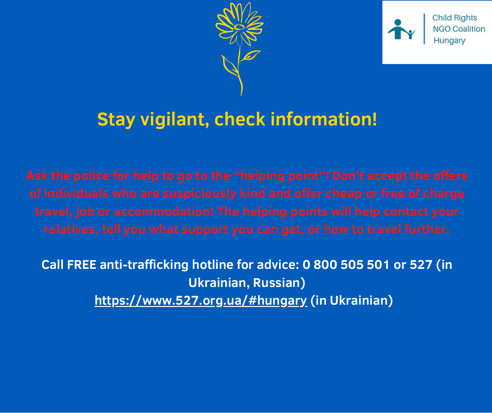



#### **Stay vigilant, check information!**

**Call FREE anti-trafficking hotline for advice: 0 800 505 501 or 527 (in Ukrainian, Russian) <https://www.527.org.ua/#hungary> (in Ukrainian)**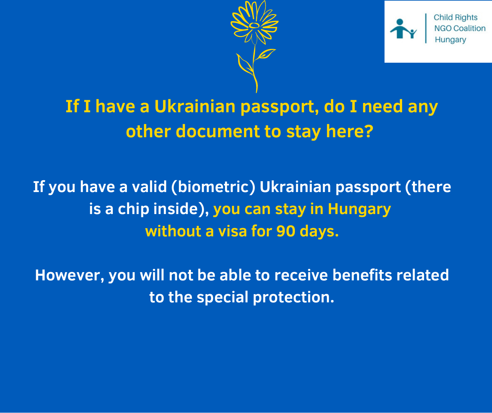



## **If I have a Ukrainian passport, do I need any other document to stay here?**

**If you have a valid (biometric) Ukrainian passport (there is a chip inside), you can stay in Hungary without a visa for 90 days.**

**However, you will not be able to receive benefits related to the special protection.**